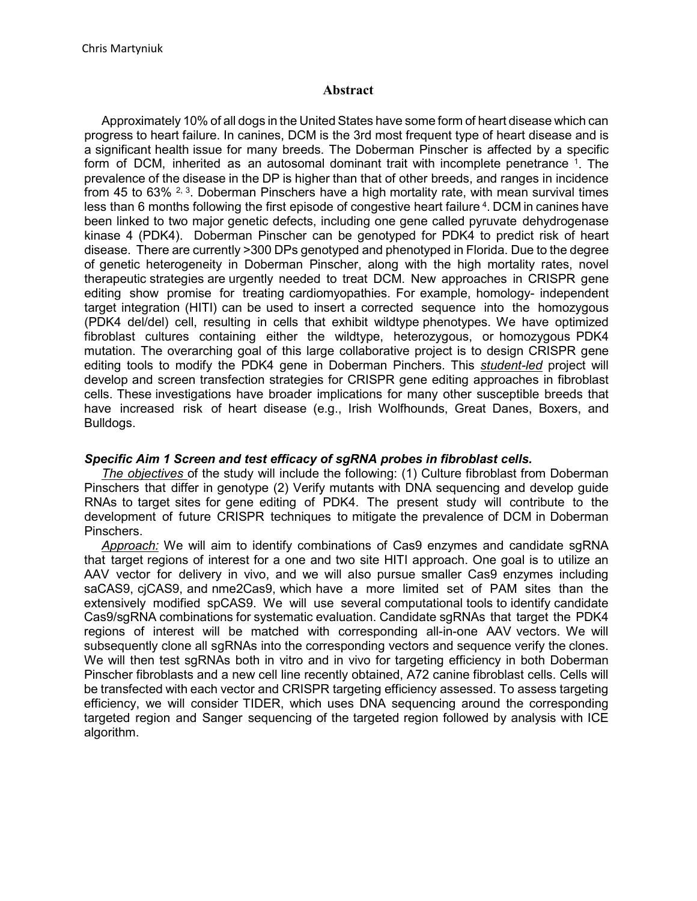## **Abstract**

Approximately 10% of all dogs in the United States have some form of heart disease which can progress to heart failure. In canines, DCM is the 3rd most frequent type of heart disease and is a significant health issue for many breeds. The Doberman Pinscher is affected by a specific form of DCM, inherited as an autosomal dominant trait with incomplete penetrance 1. The prevalence of the disease in the DP is higher than that of other breeds, and ranges in incidence from 45 to 63%  $2,3$ . Doberman Pinschers have a high mortality rate, with mean survival times less than 6 months following the first episode of congestive heart failure 4. DCM in canines have been linked to two major genetic defects, including one gene called pyruvate dehydrogenase kinase 4 (PDK4). Doberman Pinscher can be genotyped for PDK4 to predict risk of heart disease. There are currently >300 DPs genotyped and phenotyped in Florida. Due to the degree of genetic heterogeneity in Doberman Pinscher, along with the high mortality rates, novel therapeutic strategies are urgently needed to treat DCM. New approaches in CRISPR gene editing show promise for treating cardiomyopathies. For example, homology- independent target integration (HITI) can be used to insert a corrected sequence into the homozygous (PDK4 del/del) cell, resulting in cells that exhibit wildtype phenotypes. We have optimized fibroblast cultures containing either the wildtype, heterozygous, or homozygous PDK4 mutation. The overarching goal of this large collaborative project is to design CRISPR gene editing tools to modify the PDK4 gene in Doberman Pinchers. This *student-led* project will develop and screen transfection strategies for CRISPR gene editing approaches in fibroblast cells. These investigations have broader implications for many other susceptible breeds that have increased risk of heart disease (e.g., Irish Wolfhounds, Great Danes, Boxers, and Bulldogs.

## *Specific Aim 1 Screen and test efficacy of sgRNA probes in fibroblast cells.*

*The objectives* of the study will include the following: (1) Culture fibroblast from Doberman Pinschers that differ in genotype (2) Verify mutants with DNA sequencing and develop guide RNAs to target sites for gene editing of PDK4. The present study will contribute to the development of future CRISPR techniques to mitigate the prevalence of DCM in Doberman Pinschers.

*Approach:* We will aim to identify combinations of Cas9 enzymes and candidate sgRNA that target regions of interest for a one and two site HITI approach. One goal is to utilize an AAV vector for delivery in vivo, and we will also pursue smaller Cas9 enzymes including saCAS9, cjCAS9, and nme2Cas9, which have a more limited set of PAM sites than the extensively modified spCAS9. We will use several computational tools to identify candidate Cas9/sgRNA combinations for systematic evaluation. Candidate sgRNAs that target the PDK4 regions of interest will be matched with corresponding all-in-one AAV vectors. We will subsequently clone all sgRNAs into the corresponding vectors and sequence verify the clones. We will then test sgRNAs both in vitro and in vivo for targeting efficiency in both Doberman Pinscher fibroblasts and a new cell line recently obtained, A72 canine fibroblast cells. Cells will be transfected with each vector and CRISPR targeting efficiency assessed. To assess targeting efficiency, we will consider TIDER, which uses DNA sequencing around the corresponding targeted region and Sanger sequencing of the targeted region followed by analysis with ICE algorithm.